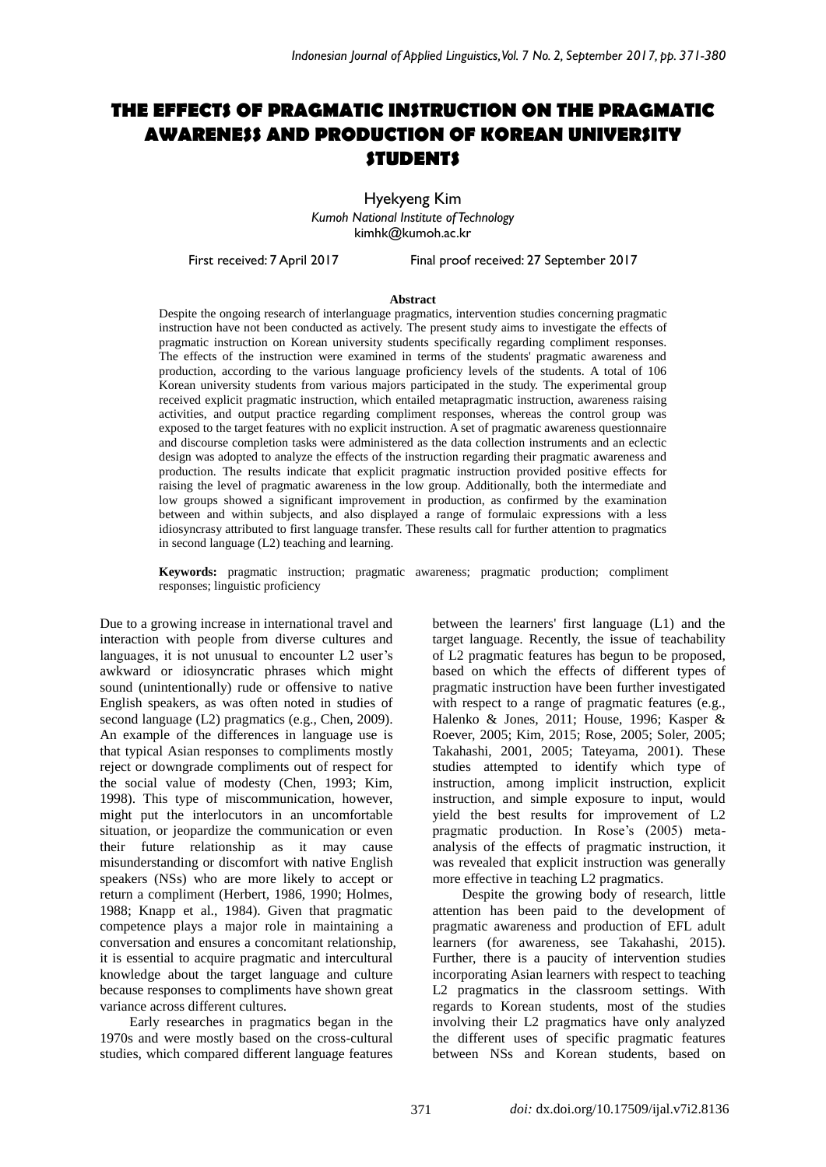# **THE EFFECTS OF PRAGMATIC INSTRUCTION ON THE PRAGMATIC AWARENESS AND PRODUCTION OF KOREAN UNIVERSITY STUDENTS**

Hyekyeng Kim *Kumoh National Institute of Technology*  kimhk@kumoh.ac.kr

First received: 7 April 2017 Final proof received: 27 September 2017

#### **Abstract**

Despite the ongoing research of interlanguage pragmatics, intervention studies concerning pragmatic instruction have not been conducted as actively. The present study aims to investigate the effects of pragmatic instruction on Korean university students specifically regarding compliment responses. The effects of the instruction were examined in terms of the students' pragmatic awareness and production, according to the various language proficiency levels of the students. A total of 106 Korean university students from various majors participated in the study. The experimental group received explicit pragmatic instruction, which entailed metapragmatic instruction, awareness raising activities, and output practice regarding compliment responses, whereas the control group was exposed to the target features with no explicit instruction. A set of pragmatic awareness questionnaire and discourse completion tasks were administered as the data collection instruments and an eclectic design was adopted to analyze the effects of the instruction regarding their pragmatic awareness and production. The results indicate that explicit pragmatic instruction provided positive effects for raising the level of pragmatic awareness in the low group. Additionally, both the intermediate and low groups showed a significant improvement in production, as confirmed by the examination between and within subjects, and also displayed a range of formulaic expressions with a less idiosyncrasy attributed to first language transfer. These results call for further attention to pragmatics in second language (L2) teaching and learning.

**Keywords:** pragmatic instruction; pragmatic awareness; pragmatic production; compliment responses; linguistic proficiency

Due to a growing increase in international travel and interaction with people from diverse cultures and languages, it is not unusual to encounter L2 user's awkward or idiosyncratic phrases which might sound (unintentionally) rude or offensive to native English speakers, as was often noted in studies of second language (L2) pragmatics (e.g., Chen, 2009). An example of the differences in language use is that typical Asian responses to compliments mostly reject or downgrade compliments out of respect for the social value of modesty (Chen, 1993; Kim, 1998). This type of miscommunication, however, might put the interlocutors in an uncomfortable situation, or jeopardize the communication or even their future relationship as it may cause misunderstanding or discomfort with native English speakers (NSs) who are more likely to accept or return a compliment (Herbert, 1986, 1990; Holmes, 1988; Knapp et al., 1984). Given that pragmatic competence plays a major role in maintaining a conversation and ensures a concomitant relationship, it is essential to acquire pragmatic and intercultural knowledge about the target language and culture because responses to compliments have shown great variance across different cultures.

Early researches in pragmatics began in the 1970s and were mostly based on the cross-cultural studies, which compared different language features between the learners' first language (L1) and the target language. Recently, the issue of teachability of L2 pragmatic features has begun to be proposed, based on which the effects of different types of pragmatic instruction have been further investigated with respect to a range of pragmatic features (e.g., Halenko & Jones, 2011; House, 1996; Kasper & Roever, 2005; Kim, 2015; Rose, 2005; Soler, 2005; Takahashi, 2001, 2005; Tateyama, 2001). These studies attempted to identify which type of instruction, among implicit instruction, explicit instruction, and simple exposure to input, would yield the best results for improvement of L2 pragmatic production. In Rose's (2005) metaanalysis of the effects of pragmatic instruction, it was revealed that explicit instruction was generally more effective in teaching L2 pragmatics.

Despite the growing body of research, little attention has been paid to the development of pragmatic awareness and production of EFL adult learners (for awareness, see Takahashi, 2015). Further, there is a paucity of intervention studies incorporating Asian learners with respect to teaching L2 pragmatics in the classroom settings. With regards to Korean students, most of the studies involving their L2 pragmatics have only analyzed the different uses of specific pragmatic features between NSs and Korean students, based on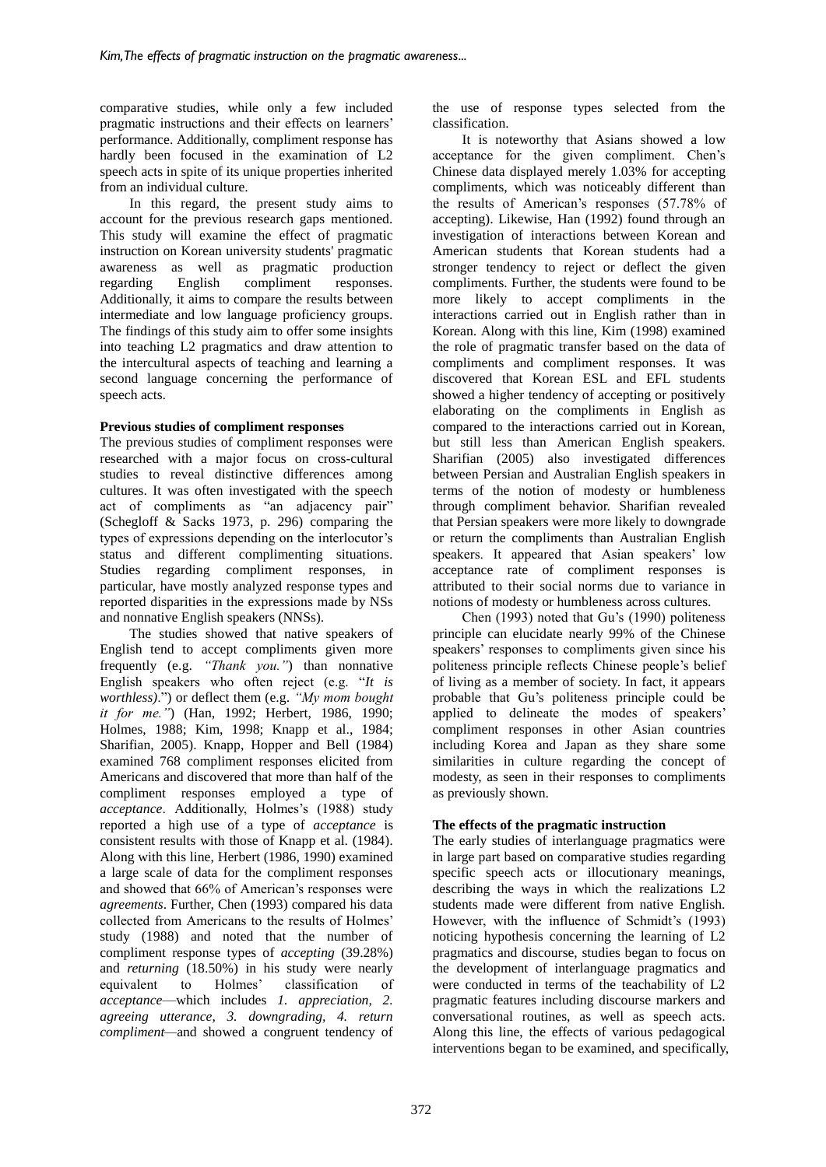comparative studies, while only a few included pragmatic instructions and their effects on learners' performance. Additionally, compliment response has hardly been focused in the examination of L2 speech acts in spite of its unique properties inherited from an individual culture.

In this regard, the present study aims to account for the previous research gaps mentioned. This study will examine the effect of pragmatic instruction on Korean university students' pragmatic awareness as well as pragmatic production regarding English compliment responses. Additionally, it aims to compare the results between intermediate and low language proficiency groups. The findings of this study aim to offer some insights into teaching L2 pragmatics and draw attention to the intercultural aspects of teaching and learning a second language concerning the performance of speech acts.

### **Previous studies of compliment responses**

The previous studies of compliment responses were researched with a major focus on cross-cultural studies to reveal distinctive differences among cultures. It was often investigated with the speech act of compliments as "an adjacency pair" (Schegloff & Sacks 1973, p. 296) comparing the types of expressions depending on the interlocutor's status and different complimenting situations. Studies regarding compliment responses, in particular, have mostly analyzed response types and reported disparities in the expressions made by NSs and nonnative English speakers (NNSs).

The studies showed that native speakers of English tend to accept compliments given more frequently (e.g. *"Thank you."*) than nonnative English speakers who often reject (e.g. "*It is worthless)*.") or deflect them (e.g. *"My mom bought it for me."*) (Han, 1992; Herbert, 1986, 1990; Holmes, 1988; Kim, 1998; Knapp et al., 1984; Sharifian, 2005). Knapp, Hopper and Bell (1984) examined 768 compliment responses elicited from Americans and discovered that more than half of the compliment responses employed a type of *acceptance*. Additionally, Holmes's (1988) study reported a high use of a type of *acceptance* is consistent results with those of Knapp et al. (1984)*.* Along with this line, Herbert (1986, 1990) examined a large scale of data for the compliment responses and showed that 66% of American's responses were *agreements*. Further, Chen (1993) compared his data collected from Americans to the results of Holmes' study (1988) and noted that the number of compliment response types of *accepting* (39.28%) and *returning* (18.50%) in his study were nearly equivalent to Holmes' classification of *acceptance*—which includes *1. appreciation, 2. agreeing utterance, 3. downgrading, 4. return compliment—*and showed a congruent tendency of the use of response types selected from the classification.

It is noteworthy that Asians showed a low acceptance for the given compliment. Chen's Chinese data displayed merely 1.03% for accepting compliments, which was noticeably different than the results of American's responses (57.78% of accepting). Likewise, Han (1992) found through an investigation of interactions between Korean and American students that Korean students had a stronger tendency to reject or deflect the given compliments. Further, the students were found to be more likely to accept compliments in the interactions carried out in English rather than in Korean. Along with this line, Kim (1998) examined the role of pragmatic transfer based on the data of compliments and compliment responses. It was discovered that Korean ESL and EFL students showed a higher tendency of accepting or positively elaborating on the compliments in English as compared to the interactions carried out in Korean, but still less than American English speakers. Sharifian (2005) also investigated differences between Persian and Australian English speakers in terms of the notion of modesty or humbleness through compliment behavior. Sharifian revealed that Persian speakers were more likely to downgrade or return the compliments than Australian English speakers. It appeared that Asian speakers' low acceptance rate of compliment responses is attributed to their social norms due to variance in notions of modesty or humbleness across cultures.

Chen (1993) noted that Gu's (1990) politeness principle can elucidate nearly 99% of the Chinese speakers' responses to compliments given since his politeness principle reflects Chinese people's belief of living as a member of society. In fact, it appears probable that Gu's politeness principle could be applied to delineate the modes of speakers' compliment responses in other Asian countries including Korea and Japan as they share some similarities in culture regarding the concept of modesty, as seen in their responses to compliments as previously shown.

# **The effects of the pragmatic instruction**

The early studies of interlanguage pragmatics were in large part based on comparative studies regarding specific speech acts or illocutionary meanings, describing the ways in which the realizations L2 students made were different from native English. However, with the influence of Schmidt's (1993) noticing hypothesis concerning the learning of L2 pragmatics and discourse, studies began to focus on the development of interlanguage pragmatics and were conducted in terms of the teachability of L2 pragmatic features including discourse markers and conversational routines, as well as speech acts. Along this line, the effects of various pedagogical interventions began to be examined, and specifically,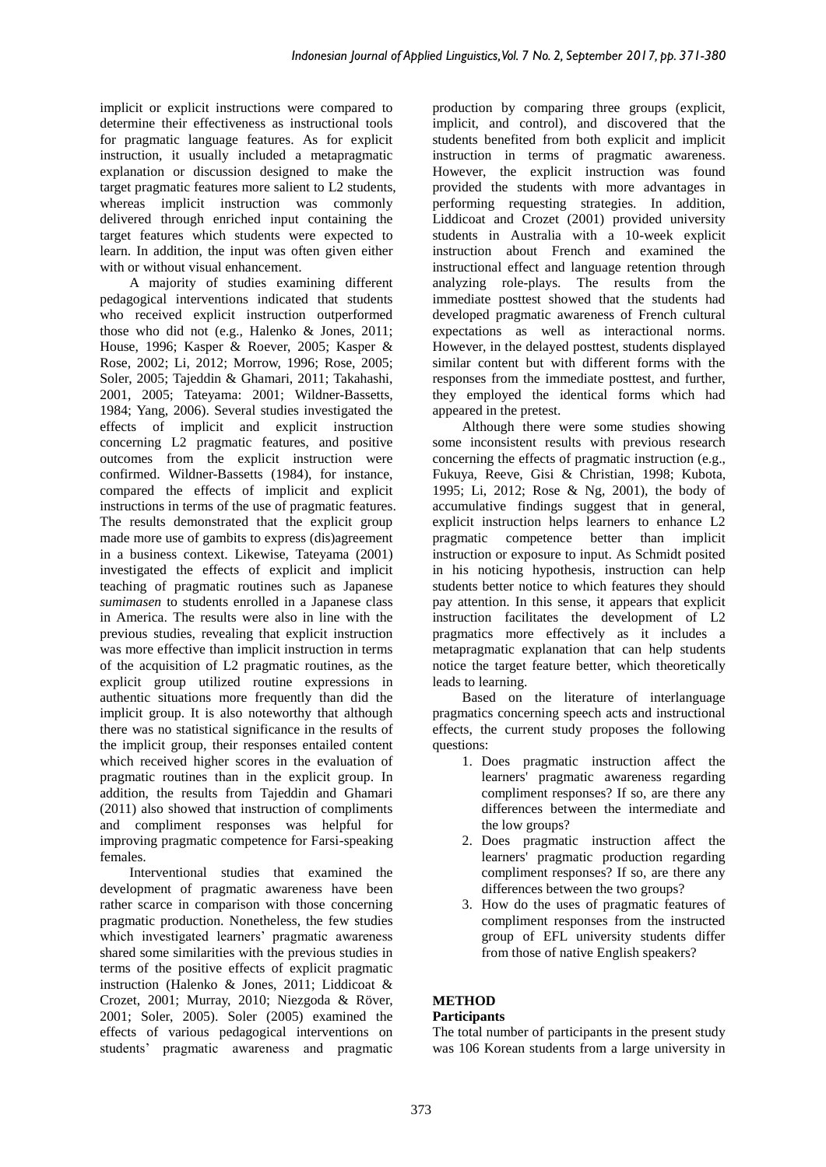implicit or explicit instructions were compared to determine their effectiveness as instructional tools for pragmatic language features. As for explicit instruction, it usually included a metapragmatic explanation or discussion designed to make the target pragmatic features more salient to L2 students, whereas implicit instruction was commonly delivered through enriched input containing the target features which students were expected to learn. In addition, the input was often given either with or without visual enhancement.

A majority of studies examining different pedagogical interventions indicated that students who received explicit instruction outperformed those who did not (e.g., Halenko & Jones, 2011; House, 1996; Kasper & Roever, 2005; Kasper & Rose, 2002; Li, 2012; Morrow, 1996; Rose, 2005; Soler, 2005; Tajeddin & Ghamari, 2011; Takahashi, 2001, 2005; Tateyama: 2001; Wildner-Bassetts, 1984; Yang, 2006). Several studies investigated the effects of implicit and explicit instruction concerning L2 pragmatic features, and positive outcomes from the explicit instruction were confirmed. Wildner-Bassetts (1984), for instance, compared the effects of implicit and explicit instructions in terms of the use of pragmatic features. The results demonstrated that the explicit group made more use of gambits to express (dis)agreement in a business context. Likewise, Tateyama (2001) investigated the effects of explicit and implicit teaching of pragmatic routines such as Japanese *sumimasen* to students enrolled in a Japanese class in America. The results were also in line with the previous studies, revealing that explicit instruction was more effective than implicit instruction in terms of the acquisition of L2 pragmatic routines, as the explicit group utilized routine expressions in authentic situations more frequently than did the implicit group. It is also noteworthy that although there was no statistical significance in the results of the implicit group, their responses entailed content which received higher scores in the evaluation of pragmatic routines than in the explicit group. In addition, the results from Tajeddin and Ghamari (2011) also showed that instruction of compliments and compliment responses was helpful for improving pragmatic competence for Farsi-speaking females.

Interventional studies that examined the development of pragmatic awareness have been rather scarce in comparison with those concerning pragmatic production. Nonetheless, the few studies which investigated learners' pragmatic awareness shared some similarities with the previous studies in terms of the positive effects of explicit pragmatic instruction (Halenko & Jones, 2011; Liddicoat & Crozet, 2001; Murray, 2010; Niezgoda & Röver, 2001; Soler, 2005). Soler (2005) examined the effects of various pedagogical interventions on students' pragmatic awareness and pragmatic production by comparing three groups (explicit, implicit, and control), and discovered that the students benefited from both explicit and implicit instruction in terms of pragmatic awareness. However, the explicit instruction was found provided the students with more advantages in performing requesting strategies. In addition, Liddicoat and Crozet (2001) provided university students in Australia with a 10-week explicit instruction about French and examined the instructional effect and language retention through analyzing role-plays. The results from the immediate posttest showed that the students had developed pragmatic awareness of French cultural expectations as well as interactional norms. However, in the delayed posttest, students displayed similar content but with different forms with the responses from the immediate posttest, and further, they employed the identical forms which had appeared in the pretest.

Although there were some studies showing some inconsistent results with previous research concerning the effects of pragmatic instruction (e.g., Fukuya, Reeve, Gisi & Christian, 1998; Kubota, 1995; Li, 2012; Rose & Ng, 2001), the body of accumulative findings suggest that in general, explicit instruction helps learners to enhance L2 pragmatic competence better than implicit instruction or exposure to input. As Schmidt posited in his noticing hypothesis, instruction can help students better notice to which features they should pay attention. In this sense, it appears that explicit instruction facilitates the development of L2 pragmatics more effectively as it includes a metapragmatic explanation that can help students notice the target feature better, which theoretically leads to learning.

Based on the literature of interlanguage pragmatics concerning speech acts and instructional effects, the current study proposes the following questions:

- 1. Does pragmatic instruction affect the learners' pragmatic awareness regarding compliment responses? If so, are there any differences between the intermediate and the low groups?
- 2. Does pragmatic instruction affect the learners' pragmatic production regarding compliment responses? If so, are there any differences between the two groups?
- 3. How do the uses of pragmatic features of compliment responses from the instructed group of EFL university students differ from those of native English speakers?

# **METHOD**

# **Participants**

The total number of participants in the present study was 106 Korean students from a large university in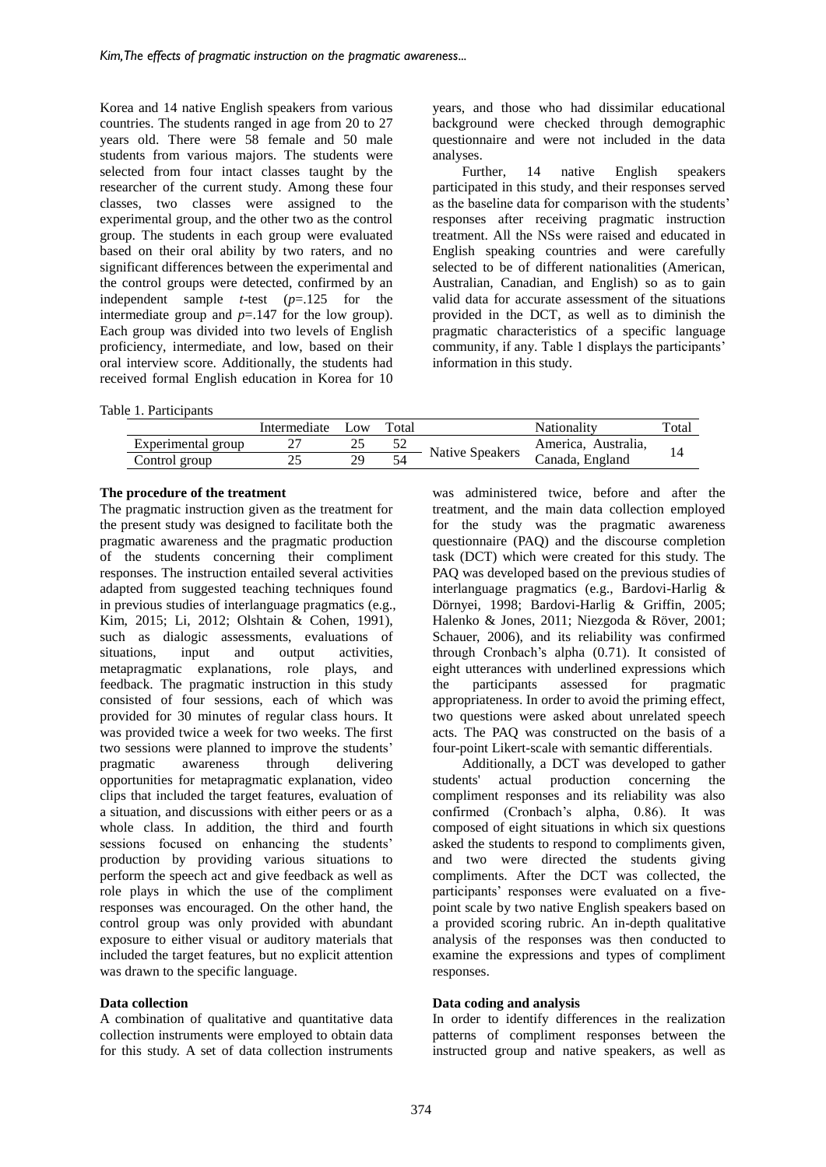Korea and 14 native English speakers from various countries. The students ranged in age from 20 to 27 years old. There were 58 female and 50 male students from various majors. The students were selected from four intact classes taught by the researcher of the current study. Among these four classes, two classes were assigned to the experimental group, and the other two as the control group. The students in each group were evaluated based on their oral ability by two raters, and no significant differences between the experimental and the control groups were detected, confirmed by an independent sample *t*-test (*p*=.125 for the intermediate group and  $p=147$  for the low group). Each group was divided into two levels of English proficiency, intermediate, and low, based on their oral interview score. Additionally, the students had received formal English education in Korea for 10

Table 1. Participants

years, and those who had dissimilar educational background were checked through demographic questionnaire and were not included in the data analyses.

Further, 14 native English speakers participated in this study, and their responses served as the baseline data for comparison with the students' responses after receiving pragmatic instruction treatment. All the NSs were raised and educated in English speaking countries and were carefully selected to be of different nationalities (American, Australian, Canadian, and English) so as to gain valid data for accurate assessment of the situations provided in the DCT, as well as to diminish the pragmatic characteristics of a specific language community, if any. Table 1 displays the participants' information in this study.

|                    | Intermediate | Low | Total |                 | Nationality         | $_{\rm \tau\sigma}$ |
|--------------------|--------------|-----|-------|-----------------|---------------------|---------------------|
| Experimental group |              | ت ک | ັ້    | Native Speakers | America, Australia, |                     |
| Control group      |              | 29  |       |                 | Canada, England     |                     |

### **The procedure of the treatment**

The pragmatic instruction given as the treatment for the present study was designed to facilitate both the pragmatic awareness and the pragmatic production of the students concerning their compliment responses. The instruction entailed several activities adapted from suggested teaching techniques found in previous studies of interlanguage pragmatics (e.g., Kim, 2015; Li, 2012; Olshtain & Cohen, 1991), such as dialogic assessments, evaluations of situations, input and output activities, metapragmatic explanations, role plays, and feedback. The pragmatic instruction in this study consisted of four sessions, each of which was provided for 30 minutes of regular class hours. It was provided twice a week for two weeks. The first two sessions were planned to improve the students' pragmatic awareness through delivering opportunities for metapragmatic explanation, video clips that included the target features, evaluation of a situation, and discussions with either peers or as a whole class. In addition, the third and fourth sessions focused on enhancing the students' production by providing various situations to perform the speech act and give feedback as well as role plays in which the use of the compliment responses was encouraged. On the other hand, the control group was only provided with abundant exposure to either visual or auditory materials that included the target features, but no explicit attention was drawn to the specific language.

#### **Data collection**

A combination of qualitative and quantitative data collection instruments were employed to obtain data for this study. A set of data collection instruments was administered twice, before and after the treatment, and the main data collection employed for the study was the pragmatic awareness questionnaire (PAQ) and the discourse completion task (DCT) which were created for this study. The PAQ was developed based on the previous studies of interlanguage pragmatics (e.g., Bardovi-Harlig & Dörnyei, 1998; Bardovi-Harlig & Griffin, 2005; Halenko & Jones, 2011; Niezgoda & Röver, 2001; Schauer, 2006), and its reliability was confirmed through Cronbach's alpha (0.71). It consisted of eight utterances with underlined expressions which the participants assessed for pragmatic appropriateness. In order to avoid the priming effect, two questions were asked about unrelated speech acts. The PAQ was constructed on the basis of a four-point Likert-scale with semantic differentials.

Additionally, a DCT was developed to gather students' actual production concerning the compliment responses and its reliability was also confirmed (Cronbach's alpha, 0.86). It was composed of eight situations in which six questions asked the students to respond to compliments given, and two were directed the students giving compliments. After the DCT was collected, the participants' responses were evaluated on a fivepoint scale by two native English speakers based on a provided scoring rubric. An in-depth qualitative analysis of the responses was then conducted to examine the expressions and types of compliment responses.

#### **Data coding and analysis**

In order to identify differences in the realization patterns of compliment responses between the instructed group and native speakers, as well as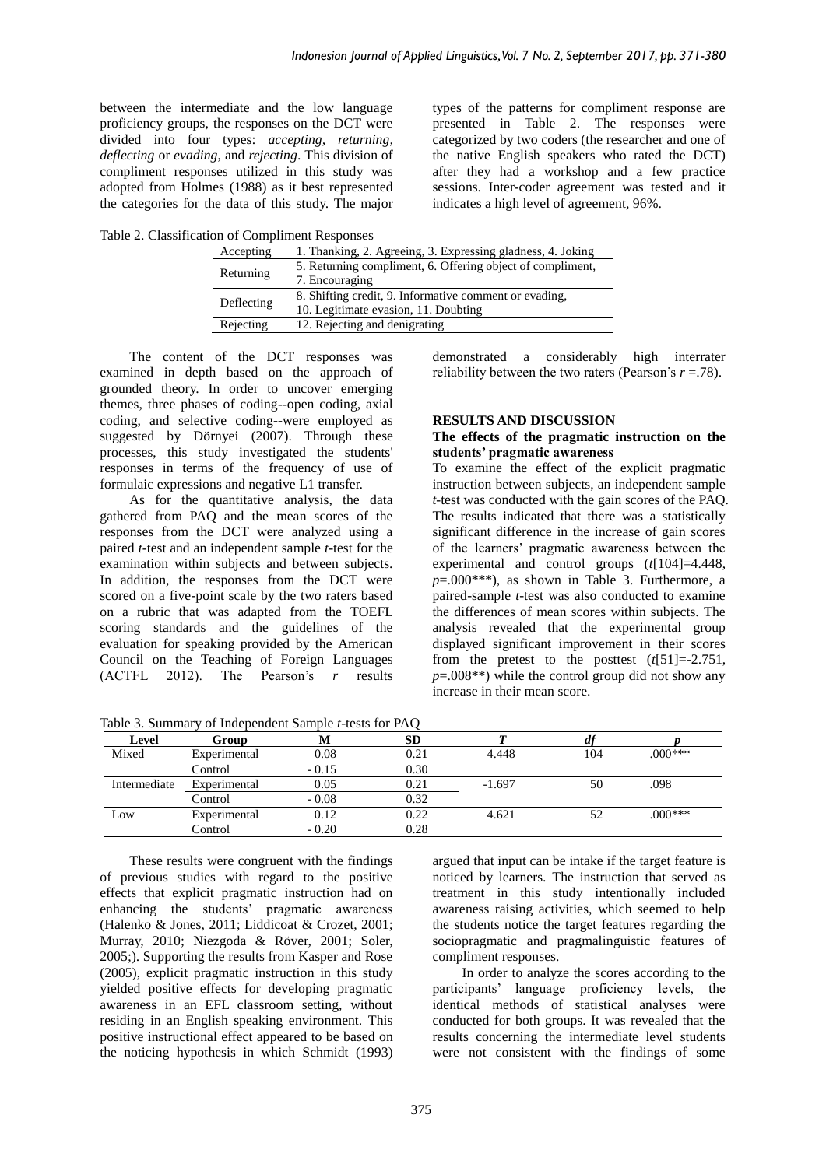between the intermediate and the low language proficiency groups, the responses on the DCT were divided into four types: *accepting, returning, deflecting* or *evading*, and *rejecting*. This division of compliment responses utilized in this study was adopted from Holmes (1988) as it best represented the categories for the data of this study. The major types of the patterns for compliment response are presented in Table 2. The responses were categorized by two coders (the researcher and one of the native English speakers who rated the DCT) after they had a workshop and a few practice sessions. Inter-coder agreement was tested and it indicates a high level of agreement, 96%.

Table 2. Classification of Compliment Responses

| Accepting  | 1. Thanking, 2. Agreeing, 3. Expressing gladness, 4. Joking |
|------------|-------------------------------------------------------------|
|            | 5. Returning compliment, 6. Offering object of compliment,  |
| Returning  | 7. Encouraging                                              |
| Deflecting | 8. Shifting credit, 9. Informative comment or evading,      |
|            | 10. Legitimate evasion, 11. Doubting                        |
| Rejecting  | 12. Rejecting and denigrating                               |

The content of the DCT responses was examined in depth based on the approach of grounded theory. In order to uncover emerging themes, three phases of coding--open coding, axial coding, and selective coding--were employed as suggested by Dörnyei (2007). Through these processes, this study investigated the students' responses in terms of the frequency of use of formulaic expressions and negative L1 transfer.

As for the quantitative analysis, the data gathered from PAQ and the mean scores of the responses from the DCT were analyzed using a paired *t-*test and an independent sample *t*-test for the examination within subjects and between subjects. In addition, the responses from the DCT were scored on a five-point scale by the two raters based on a rubric that was adapted from the TOEFL scoring standards and the guidelines of the evaluation for speaking provided by the American Council on the Teaching of Foreign Languages (ACTFL 2012). The Pearson's *r* results demonstrated a considerably high interrater reliability between the two raters (Pearson's *r* =.78).

#### **RESULTS AND DISCUSSION**

#### **The effects of the pragmatic instruction on the students' pragmatic awareness**

To examine the effect of the explicit pragmatic instruction between subjects, an independent sample *t*-test was conducted with the gain scores of the PAQ. The results indicated that there was a statistically significant difference in the increase of gain scores of the learners' pragmatic awareness between the experimental and control groups (*t*[104]=4.448, *p*=.000\*\*\*), as shown in Table 3. Furthermore, a paired-sample *t*-test was also conducted to examine the differences of mean scores within subjects. The analysis revealed that the experimental group displayed significant improvement in their scores from the pretest to the posttest  $(t[51] = -2.751$ ,  $p=0.008**$ ) while the control group did not show any increase in their mean score.

**Level Group M SD** *T df p* Mixed Experimental 0.08 0.21 4.448 104 .000\*\*\* Control - 0.15 0.30<br>Experimental 0.05 0.21 Intermediate Experimental 0.05 0.21 -1.697 50 .098 Control Low Experimental 0.12 0.22 4.621 52 .000\*\*\*<br>Control - 0.20 0.28 4.621 Control

Table 3. Summary of Independent Sample *t*-tests for PAQ

These results were congruent with the findings of previous studies with regard to the positive effects that explicit pragmatic instruction had on enhancing the students' pragmatic awareness (Halenko & Jones, 2011; Liddicoat & Crozet, 2001; Murray, 2010; Niezgoda & Röver, 2001; Soler, 2005;). Supporting the results from Kasper and Rose (2005), explicit pragmatic instruction in this study yielded positive effects for developing pragmatic awareness in an EFL classroom setting, without residing in an English speaking environment. This positive instructional effect appeared to be based on the noticing hypothesis in which Schmidt (1993) argued that input can be intake if the target feature is noticed by learners. The instruction that served as treatment in this study intentionally included awareness raising activities, which seemed to help the students notice the target features regarding the sociopragmatic and pragmalinguistic features of compliment responses.

In order to analyze the scores according to the participants' language proficiency levels, the identical methods of statistical analyses were conducted for both groups. It was revealed that the results concerning the intermediate level students were not consistent with the findings of some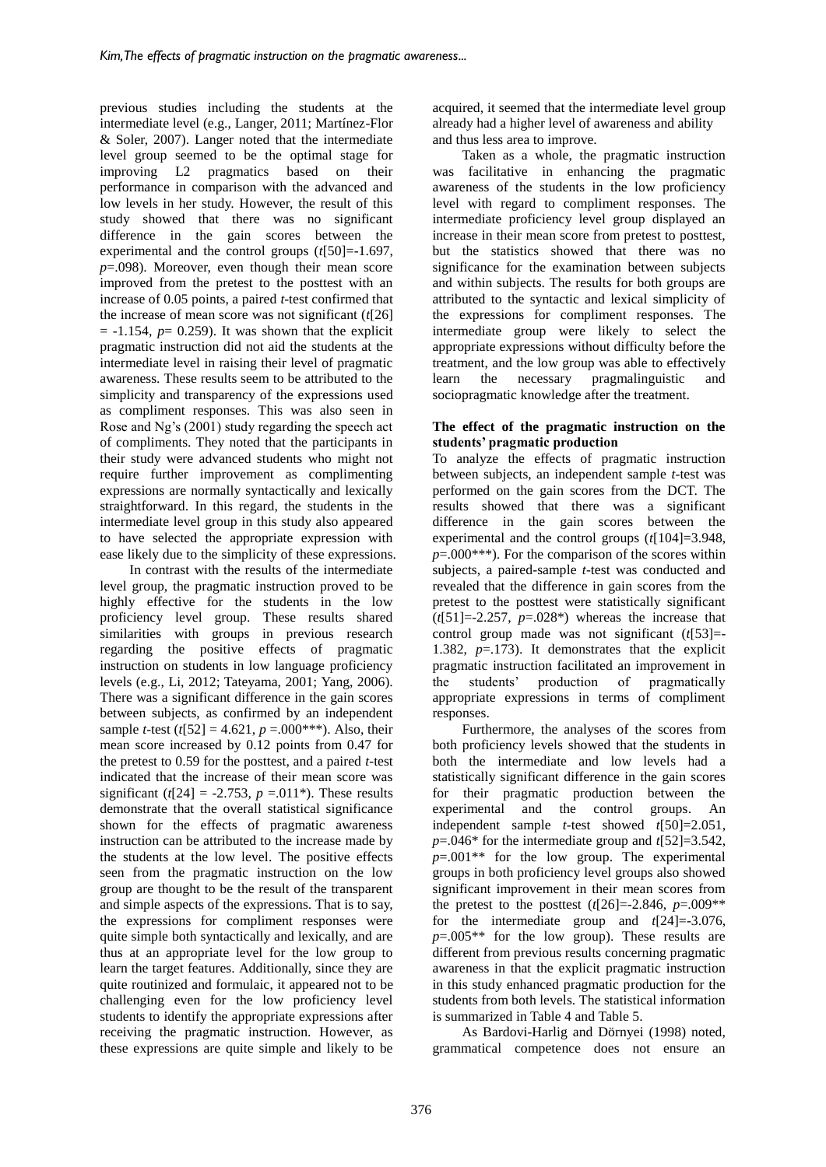previous studies including the students at the intermediate level (e.g., Langer, 2011; Martínez-Flor & Soler, 2007). Langer noted that the intermediate level group seemed to be the optimal stage for improving L2 pragmatics based on their performance in comparison with the advanced and low levels in her study. However, the result of this study showed that there was no significant difference in the gain scores between the experimental and the control groups (*t*[50]=-1.697, *p*=.098). Moreover, even though their mean score improved from the pretest to the posttest with an increase of 0.05 points, a paired *t*-test confirmed that the increase of mean score was not significant (*t*[26]  $= -1.154$ ,  $p = 0.259$ ). It was shown that the explicit pragmatic instruction did not aid the students at the intermediate level in raising their level of pragmatic awareness. These results seem to be attributed to the simplicity and transparency of the expressions used as compliment responses. This was also seen in Rose and Ng's (2001) study regarding the speech act of compliments. They noted that the participants in their study were advanced students who might not require further improvement as complimenting expressions are normally syntactically and lexically straightforward. In this regard, the students in the intermediate level group in this study also appeared to have selected the appropriate expression with ease likely due to the simplicity of these expressions.

In contrast with the results of the intermediate level group, the pragmatic instruction proved to be highly effective for the students in the low proficiency level group. These results shared similarities with groups in previous research regarding the positive effects of pragmatic instruction on students in low language proficiency levels (e.g., Li, 2012; Tateyama, 2001; Yang, 2006). There was a significant difference in the gain scores between subjects, as confirmed by an independent sample *t*-test ( $t[52] = 4.621$ ,  $p = .000$ \*\*\*). Also, their mean score increased by 0.12 points from 0.47 for the pretest to 0.59 for the posttest, and a paired *t*-test indicated that the increase of their mean score was significant ( $t[24] = -2.753$ ,  $p = .011$ <sup>\*</sup>). These results demonstrate that the overall statistical significance shown for the effects of pragmatic awareness instruction can be attributed to the increase made by the students at the low level. The positive effects seen from the pragmatic instruction on the low group are thought to be the result of the transparent and simple aspects of the expressions. That is to say, the expressions for compliment responses were quite simple both syntactically and lexically, and are thus at an appropriate level for the low group to learn the target features. Additionally, since they are quite routinized and formulaic, it appeared not to be challenging even for the low proficiency level students to identify the appropriate expressions after receiving the pragmatic instruction. However, as these expressions are quite simple and likely to be

acquired, it seemed that the intermediate level group already had a higher level of awareness and ability and thus less area to improve.

Taken as a whole, the pragmatic instruction was facilitative in enhancing the pragmatic awareness of the students in the low proficiency level with regard to compliment responses. The intermediate proficiency level group displayed an increase in their mean score from pretest to posttest, but the statistics showed that there was no significance for the examination between subjects and within subjects. The results for both groups are attributed to the syntactic and lexical simplicity of the expressions for compliment responses. The intermediate group were likely to select the appropriate expressions without difficulty before the treatment, and the low group was able to effectively learn the necessary pragmalinguistic and sociopragmatic knowledge after the treatment.

#### **The effect of the pragmatic instruction on the students' pragmatic production**

To analyze the effects of pragmatic instruction between subjects, an independent sample *t*-test was performed on the gain scores from the DCT. The results showed that there was a significant difference in the gain scores between the experimental and the control groups (*t*[104]=3.948,  $p=0.000***$ ). For the comparison of the scores within subjects, a paired-sample *t*-test was conducted and revealed that the difference in gain scores from the pretest to the posttest were statistically significant  $(t[51]=-2.257, p=.028^*)$  whereas the increase that control group made was not significant (*t*[53]=- 1.382, *p*=.173). It demonstrates that the explicit pragmatic instruction facilitated an improvement in the students' production of pragmatically appropriate expressions in terms of compliment responses.

Furthermore, the analyses of the scores from both proficiency levels showed that the students in both the intermediate and low levels had a statistically significant difference in the gain scores for their pragmatic production between the experimental and the control groups. An experimental and the control groups. An independent sample *t*-test showed *t*[50]=2.051, *p*=.046\* for the intermediate group and *t*[52]=3.542, *p*=.001\*\* for the low group. The experimental groups in both proficiency level groups also showed significant improvement in their mean scores from the pretest to the posttest  $(t[26] = -2.846, p = .009**$ for the intermediate group and *t*[24]=-3.076,  $p=0.005**$  for the low group). These results are different from previous results concerning pragmatic awareness in that the explicit pragmatic instruction in this study enhanced pragmatic production for the students from both levels. The statistical information is summarized in Table 4 and Table 5.

As Bardovi-Harlig and Dörnyei (1998) noted, grammatical competence does not ensure an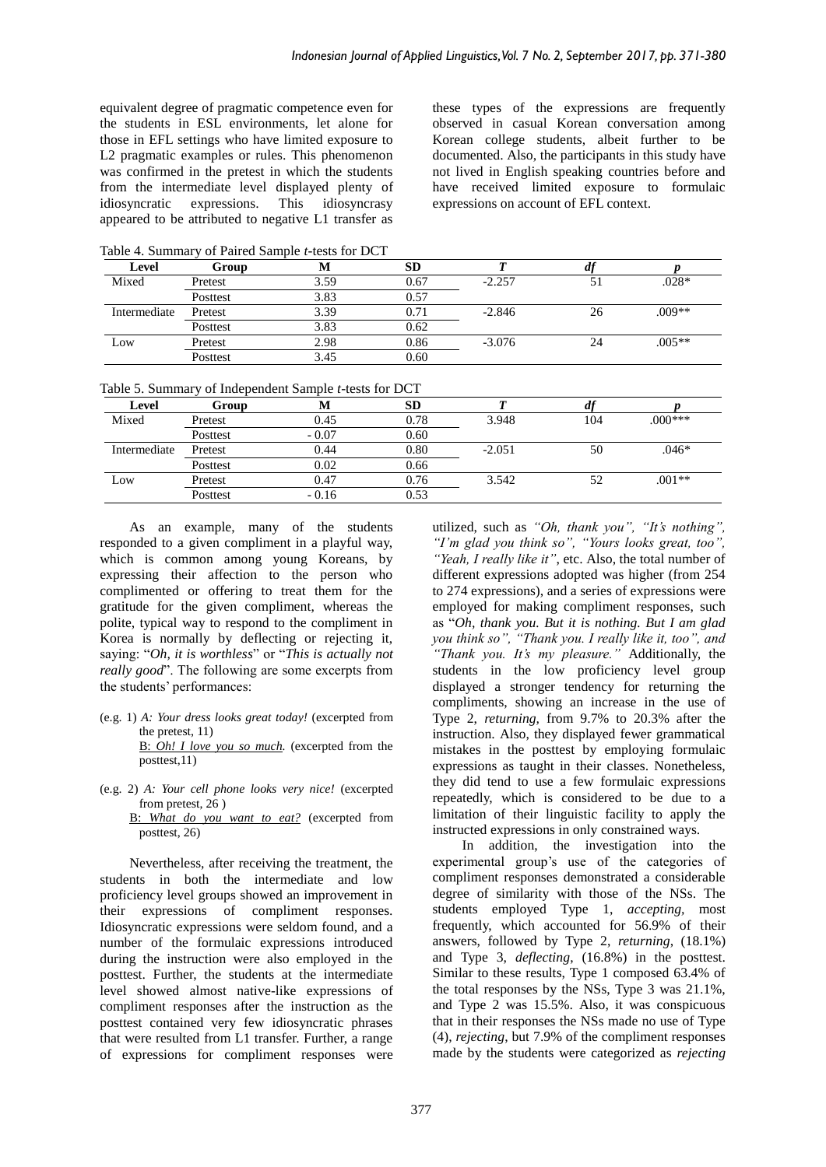equivalent degree of pragmatic competence even for the students in ESL environments, let alone for those in EFL settings who have limited exposure to L2 pragmatic examples or rules. This phenomenon was confirmed in the pretest in which the students from the intermediate level displayed plenty of idiosyncratic expressions. This idiosyncrasy appeared to be attributed to negative L1 transfer as these types of the expressions are frequently observed in casual Korean conversation among Korean college students, albeit further to be documented. Also, the participants in this study have not lived in English speaking countries before and have received limited exposure to formulaic expressions on account of EFL context.

Table 4. Summary of Paired Sample *t*-tests for DCT

| Level        | Group    | IVI  | <b>SD</b> |          | $\boldsymbol{u}$ |          |
|--------------|----------|------|-----------|----------|------------------|----------|
| Mixed        | Pretest  | 3.59 | 0.67      | $-2.257$ |                  | $.028*$  |
|              | Posttest | 3.83 | 0.57      |          |                  |          |
| Intermediate | Pretest  | 3.39 | 0.71      | $-2.846$ | 26               | .009**   |
|              | Posttest | 3.83 | 0.62      |          |                  |          |
| Low          | Pretest  | 2.98 | 0.86      | $-3.076$ | 24               | $.005**$ |
|              | Posttest | 3.45 | 0.60      |          |                  |          |

Table 5. Summary of Independent Sample *t*-tests for DCT

| Level        | Group    | M       | SD   |          |     |           |
|--------------|----------|---------|------|----------|-----|-----------|
| Mixed        | Pretest  | 0.45    | 0.78 | 3.948    | 104 | $.000***$ |
|              | Posttest | $-0.07$ | 0.60 |          |     |           |
| Intermediate | Pretest  | 0.44    | 0.80 | $-2.051$ | 50  | $.046*$   |
|              | Posttest | 0.02    | 0.66 |          |     |           |
| Low          | Pretest  | 0.47    | 0.76 | 3.542    | 52  | $.001**$  |
|              | Posttest | $-0.16$ | 0.53 |          |     |           |

As an example, many of the students responded to a given compliment in a playful way, which is common among young Koreans, by expressing their affection to the person who complimented or offering to treat them for the gratitude for the given compliment, whereas the polite, typical way to respond to the compliment in Korea is normally by deflecting or rejecting it, saying: "*Oh, it is worthless*" or "*This is actually not really good*". The following are some excerpts from the students' performances:

(e.g. 1) *A: Your dress looks great today!* (excerpted from the pretest, 11)

B: *Oh! I love you so much.* (excerpted from the posttest,11)

B: *What do you want to eat?* (excerpted from posttest, 26)

Nevertheless, after receiving the treatment, the students in both the intermediate and low proficiency level groups showed an improvement in their expressions of compliment responses. Idiosyncratic expressions were seldom found, and a number of the formulaic expressions introduced during the instruction were also employed in the posttest. Further, the students at the intermediate level showed almost native-like expressions of compliment responses after the instruction as the posttest contained very few idiosyncratic phrases that were resulted from L1 transfer. Further, a range of expressions for compliment responses were utilized, such as *"Oh, thank you", "It's nothing", "I'm glad you think so", "Yours looks great, too", "Yeah, I really like it"*, etc. Also, the total number of different expressions adopted was higher (from 254 to 274 expressions), and a series of expressions were employed for making compliment responses, such as "*Oh, thank you. But it is nothing. But I am glad you think so", "Thank you. I really like it, too", and "Thank you. It's my pleasure."* Additionally, the students in the low proficiency level group displayed a stronger tendency for returning the compliments, showing an increase in the use of Type 2, *returning,* from 9.7% to 20.3% after the instruction. Also, they displayed fewer grammatical mistakes in the posttest by employing formulaic expressions as taught in their classes. Nonetheless, they did tend to use a few formulaic expressions repeatedly, which is considered to be due to a limitation of their linguistic facility to apply the instructed expressions in only constrained ways.

In addition, the investigation into the experimental group's use of the categories of compliment responses demonstrated a considerable degree of similarity with those of the NSs. The students employed Type 1, *accepting,* most frequently, which accounted for 56.9% of their answers, followed by Type 2, *returning*, (18.1%) and Type 3, *deflecting*, (16.8%) in the posttest. Similar to these results, Type 1 composed 63.4% of the total responses by the NSs, Type 3 was 21.1%, and Type 2 was 15.5%. Also, it was conspicuous that in their responses the NSs made no use of Type (4), *rejecting*, but 7.9% of the compliment responses made by the students were categorized as *rejecting*

<sup>(</sup>e.g. 2) *A: Your cell phone looks very nice!* (excerpted from pretest, 26 )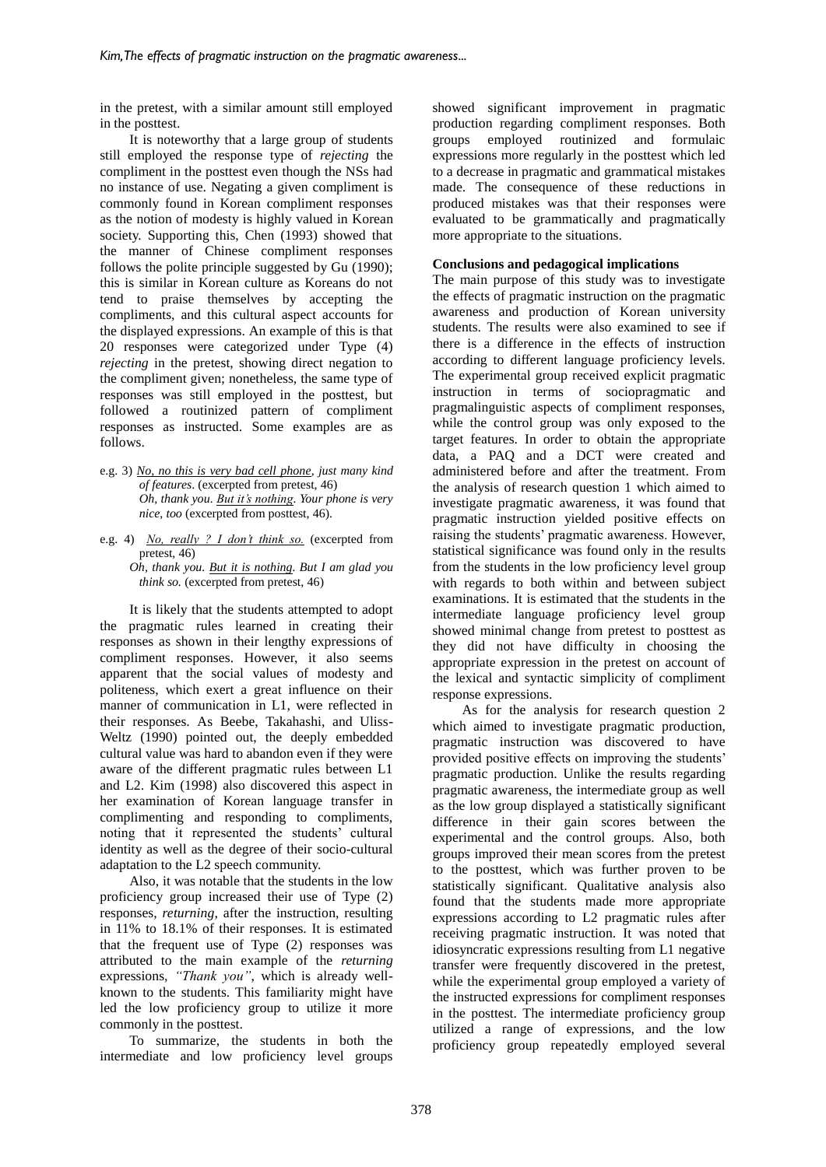in the pretest, with a similar amount still employed in the posttest.

It is noteworthy that a large group of students still employed the response type of *rejecting* the compliment in the posttest even though the NSs had no instance of use. Negating a given compliment is commonly found in Korean compliment responses as the notion of modesty is highly valued in Korean society. Supporting this, Chen (1993) showed that the manner of Chinese compliment responses follows the polite principle suggested by Gu (1990); this is similar in Korean culture as Koreans do not tend to praise themselves by accepting the compliments, and this cultural aspect accounts for the displayed expressions. An example of this is that 20 responses were categorized under Type (4) *rejecting* in the pretest, showing direct negation to the compliment given; nonetheless, the same type of responses was still employed in the posttest, but followed a routinized pattern of compliment responses as instructed. Some examples are as follows.

e.g. 3) *No, no this is very bad cell phone, just many kind of features*. (excerpted from pretest, 46) *Oh, thank you. But it's nothing. Your phone is very nice, too* (excerpted from posttest, 46).

e.g. 4) *No, really ? I don't think so.* (excerpted from pretest, 46) *Oh, thank you. But it is nothing. But I am glad you think so.* (excerpted from pretest, 46)

It is likely that the students attempted to adopt the pragmatic rules learned in creating their responses as shown in their lengthy expressions of compliment responses. However, it also seems apparent that the social values of modesty and politeness, which exert a great influence on their manner of communication in L1, were reflected in their responses. As Beebe, Takahashi, and Uliss-Weltz (1990) pointed out, the deeply embedded cultural value was hard to abandon even if they were aware of the different pragmatic rules between L1 and L2. Kim (1998) also discovered this aspect in her examination of Korean language transfer in complimenting and responding to compliments, noting that it represented the students' cultural identity as well as the degree of their socio-cultural adaptation to the L2 speech community.

Also, it was notable that the students in the low proficiency group increased their use of Type (2) responses, *returning*, after the instruction, resulting in 11% to 18.1% of their responses. It is estimated that the frequent use of Type (2) responses was attributed to the main example of the *returning* expressions, *"Thank you"*, which is already wellknown to the students. This familiarity might have led the low proficiency group to utilize it more commonly in the posttest.

To summarize, the students in both the intermediate and low proficiency level groups showed significant improvement in pragmatic production regarding compliment responses. Both groups employed routinized and formulaic expressions more regularly in the posttest which led to a decrease in pragmatic and grammatical mistakes made. The consequence of these reductions in produced mistakes was that their responses were evaluated to be grammatically and pragmatically more appropriate to the situations.

#### **Conclusions and pedagogical implications**

The main purpose of this study was to investigate the effects of pragmatic instruction on the pragmatic awareness and production of Korean university students. The results were also examined to see if there is a difference in the effects of instruction according to different language proficiency levels. The experimental group received explicit pragmatic instruction in terms of sociopragmatic and pragmalinguistic aspects of compliment responses, while the control group was only exposed to the target features. In order to obtain the appropriate data, a PAQ and a DCT were created and administered before and after the treatment. From the analysis of research question 1 which aimed to investigate pragmatic awareness, it was found that pragmatic instruction yielded positive effects on raising the students' pragmatic awareness. However, statistical significance was found only in the results from the students in the low proficiency level group with regards to both within and between subject examinations. It is estimated that the students in the intermediate language proficiency level group showed minimal change from pretest to posttest as they did not have difficulty in choosing the appropriate expression in the pretest on account of the lexical and syntactic simplicity of compliment response expressions.

As for the analysis for research question 2 which aimed to investigate pragmatic production, pragmatic instruction was discovered to have provided positive effects on improving the students' pragmatic production. Unlike the results regarding pragmatic awareness, the intermediate group as well as the low group displayed a statistically significant difference in their gain scores between the experimental and the control groups. Also, both groups improved their mean scores from the pretest to the posttest, which was further proven to be statistically significant. Qualitative analysis also found that the students made more appropriate expressions according to L2 pragmatic rules after receiving pragmatic instruction. It was noted that idiosyncratic expressions resulting from L1 negative transfer were frequently discovered in the pretest, while the experimental group employed a variety of the instructed expressions for compliment responses in the posttest. The intermediate proficiency group utilized a range of expressions, and the low proficiency group repeatedly employed several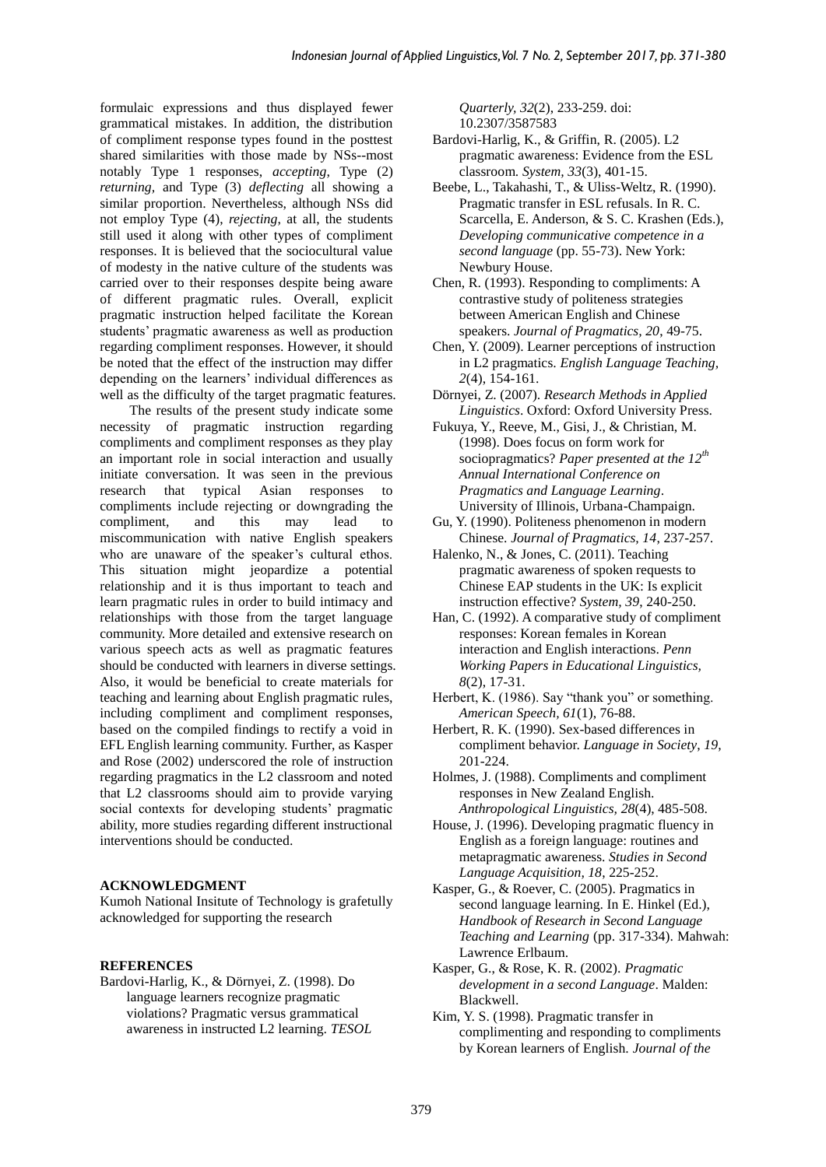formulaic expressions and thus displayed fewer grammatical mistakes. In addition, the distribution of compliment response types found in the posttest shared similarities with those made by NSs--most notably Type 1 responses, *accepting*, Type (2) *returning,* and Type (3) *deflecting* all showing a similar proportion. Nevertheless, although NSs did not employ Type (4), *rejecting*, at all, the students still used it along with other types of compliment responses. It is believed that the sociocultural value of modesty in the native culture of the students was carried over to their responses despite being aware of different pragmatic rules. Overall, explicit pragmatic instruction helped facilitate the Korean students' pragmatic awareness as well as production regarding compliment responses. However, it should be noted that the effect of the instruction may differ depending on the learners' individual differences as well as the difficulty of the target pragmatic features.

The results of the present study indicate some necessity of pragmatic instruction regarding compliments and compliment responses as they play an important role in social interaction and usually initiate conversation. It was seen in the previous research that typical Asian responses to compliments include rejecting or downgrading the compliment, and this may lead to miscommunication with native English speakers who are unaware of the speaker's cultural ethos. This situation might jeopardize a potential relationship and it is thus important to teach and learn pragmatic rules in order to build intimacy and relationships with those from the target language community. More detailed and extensive research on various speech acts as well as pragmatic features should be conducted with learners in diverse settings. Also, it would be beneficial to create materials for teaching and learning about English pragmatic rules, including compliment and compliment responses, based on the compiled findings to rectify a void in EFL English learning community. Further, as Kasper and Rose (2002) underscored the role of instruction regarding pragmatics in the L2 classroom and noted that L2 classrooms should aim to provide varying social contexts for developing students' pragmatic ability, more studies regarding different instructional interventions should be conducted.

#### **ACKNOWLEDGMENT**

Kumoh National Insitute of Technology is grafetully acknowledged for supporting the research

#### **REFERENCES**

Bardovi-Harlig, K., & Dörnyei, Z. (1998). Do language learners recognize pragmatic violations? Pragmatic versus grammatical awareness in instructed L2 learning. *TESOL*  *Quarterly, 32*(2), 233-259. doi: 10.2307/3587583

- Bardovi-Harlig, K., & Griffin, R. (2005). L2 pragmatic awareness: Evidence from the ESL classroom. *System, 33*(3), 401-15.
- Beebe, L., Takahashi, T., & Uliss-Weltz, R. (1990). Pragmatic transfer in ESL refusals. In R. C. Scarcella, E. Anderson, & S. C. Krashen (Eds.), *Developing communicative competence in a second language* (pp. 55-73). New York: Newbury House.
- Chen, R. (1993). Responding to compliments: A contrastive study of politeness strategies between American English and Chinese speakers. *Journal of Pragmatics, 20*, 49-75.
- Chen, Y. (2009). Learner perceptions of instruction in L2 pragmatics. *English Language Teaching, 2*(4), 154-161.
- Dörnyei, Z. (2007). *Research Methods in Applied Linguistics*. Oxford: Oxford University Press.
- Fukuya, Y., Reeve, M., Gisi, J., & Christian, M. (1998). Does focus on form work for sociopragmatics? *Paper presented at the 12th Annual International Conference on Pragmatics and Language Learning*. University of Illinois, Urbana-Champaign.
- Gu, Y. (1990). Politeness phenomenon in modern Chinese. *Journal of Pragmatics, 14*, 237-257.
- Halenko, N., & Jones, C. (2011). Teaching pragmatic awareness of spoken requests to Chinese EAP students in the UK: Is explicit instruction effective? *System, 39*, 240-250.
- Han, C. (1992). A comparative study of compliment responses: Korean females in Korean interaction and English interactions. *Penn Working Papers in Educational Linguistics, 8*(2), 17-31.
- Herbert, K. (1986). Say "thank you" or something. *American Speech, 61*(1), 76-88.
- Herbert, R. K. (1990). Sex-based differences in compliment behavior. *Language in Society*, *19*, 201-224.
- Holmes, J. (1988). Compliments and compliment responses in New Zealand English. *Anthropological Linguistics, 28*(4), 485-508.
- House, J. (1996). Developing pragmatic fluency in English as a foreign language: routines and metapragmatic awareness. *Studies in Second Language Acquisition, 18*, 225-252.
- Kasper, G., & Roever, C. (2005). Pragmatics in second language learning. In E. Hinkel (Ed.), *Handbook of Research in Second Language Teaching and Learning* (pp. 317-334). Mahwah: Lawrence Erlbaum.
- Kasper, G., & Rose, K. R. (2002). *Pragmatic development in a second Language*. Malden: Blackwell.
- Kim, Y. S. (1998). Pragmatic transfer in complimenting and responding to compliments by Korean learners of English. *Journal of the*